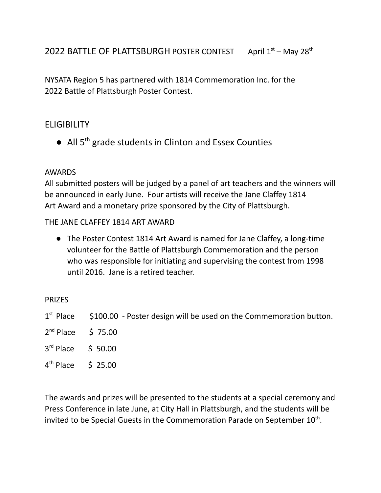NYSATA Region 5 has partnered with 1814 Commemoration Inc. for the 2022 Battle of Plattsburgh Poster Contest.

# **FLIGIBILITY**

● All 5<sup>th</sup> grade students in Clinton and Essex Counties

#### AWARDS

All submitted posters will be judged by a panel of art teachers and the winners will be announced in early June. Four artists will receive the Jane Claffey 1814 Art Award and a monetary prize sponsored by the City of Plattsburgh.

#### THE JANE CLAFFEY 1814 ART AWARD

● The Poster Contest 1814 Art Award is named for Jane Claffey, a long-time volunteer for the Battle of Plattsburgh Commemoration and the person who was responsible for initiating and supervising the contest from 1998 until 2016. Jane is a retired teacher.

#### PRIZES

- $1<sup>st</sup>$  Place \$100.00 - Poster design will be used on the Commemoration button.
- $2^{nd}$  Place  $575.00$
- $3^{rd}$  Place  $\qquad$  \$ 50.00
- $4^{\text{th}}$  Place  $\phantom{00}$  \$ 25.00

The awards and prizes will be presented to the students at a special ceremony and Press Conference in late June, at City Hall in Plattsburgh, and the students will be invited to be Special Guests in the Commemoration Parade on September  $10^{\text{th}}$ .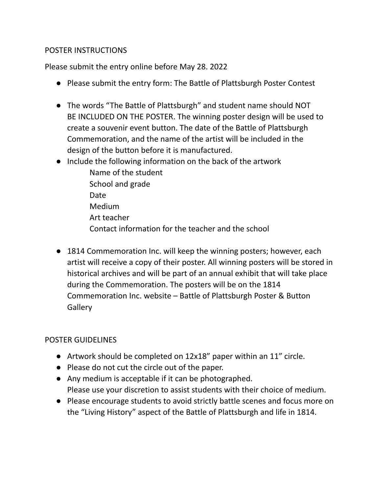#### POSTER INSTRUCTIONS

Please submit the entry online before May 28. 2022

- Please submit the entry form: The Battle of Plattsburgh Poster Contest
- The words "The Battle of Plattsburgh" and student name should NOT BE INCLUDED ON THE POSTER. The winning poster design will be used to create a souvenir event button. The date of the Battle of Plattsburgh Commemoration, and the name of the artist will be included in the design of the button before it is manufactured.
- Include the following information on the back of the artwork
	- Name of the student School and grade Date Medium Art teacher Contact information for the teacher and the school
- 1814 Commemoration Inc. will keep the winning posters; however, each artist will receive a copy of their poster. All winning posters will be stored in historical archives and will be part of an annual exhibit that will take place during the Commemoration. The posters will be on the 1814 Commemoration Inc. website – Battle of Plattsburgh Poster & Button **Gallery**

## POSTER GUIDELINES

- Artwork should be completed on 12x18" paper within an 11" circle.
- Please do not cut the circle out of the paper.
- Any medium is acceptable if it can be photographed. Please use your discretion to assist students with their choice of medium.
- Please encourage students to avoid strictly battle scenes and focus more on the "Living History" aspect of the Battle of Plattsburgh and life in 1814.